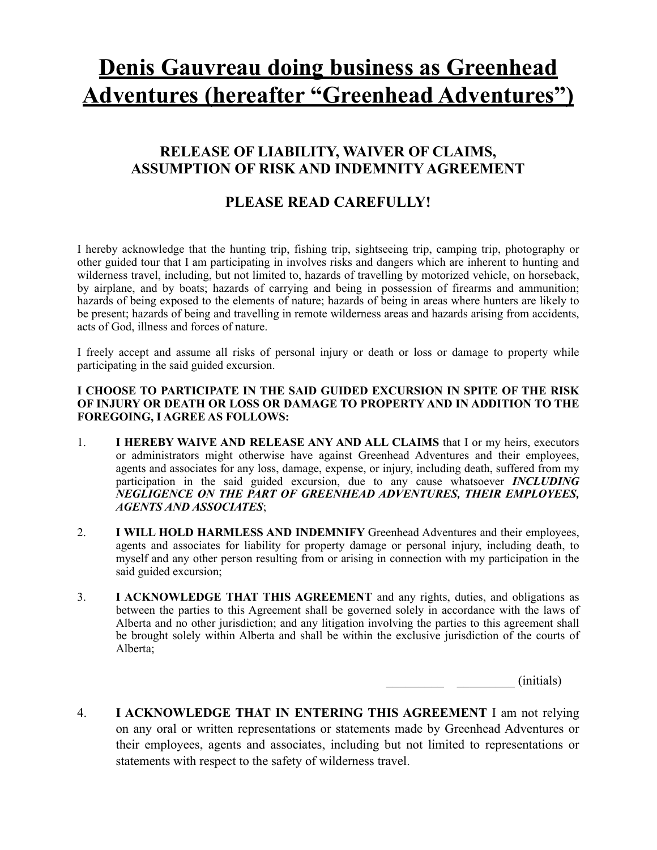# **Denis Gauvreau doing business as Greenhead Adventures (hereafter "Greenhead Adventures")**

## **RELEASE OF LIABILITY, WAIVER OF CLAIMS, ASSUMPTION OF RISK AND INDEMNITY AGREEMENT**

## **PLEASE READ CAREFULLY!**

I hereby acknowledge that the hunting trip, fishing trip, sightseeing trip, camping trip, photography or other guided tour that I am participating in involves risks and dangers which are inherent to hunting and wilderness travel, including, but not limited to, hazards of travelling by motorized vehicle, on horseback, by airplane, and by boats; hazards of carrying and being in possession of firearms and ammunition; hazards of being exposed to the elements of nature; hazards of being in areas where hunters are likely to be present; hazards of being and travelling in remote wilderness areas and hazards arising from accidents, acts of God, illness and forces of nature.

I freely accept and assume all risks of personal injury or death or loss or damage to property while participating in the said guided excursion.

#### **I CHOOSE TO PARTICIPATE IN THE SAID GUIDED EXCURSION IN SPITE OF THE RISK OF INJURY OR DEATH OR LOSS OR DAMAGE TO PROPERTY AND IN ADDITION TO THE FOREGOING, I AGREE AS FOLLOWS:**

- 1. **I HEREBY WAIVE AND RELEASE ANY AND ALL CLAIMS** that I or my heirs, executors or administrators might otherwise have against Greenhead Adventures and their employees, agents and associates for any loss, damage, expense, or injury, including death, suffered from my participation in the said guided excursion, due to any cause whatsoever *INCLUDING NEGLIGENCE ON THE PART OF GREENHEAD ADVENTURES, THEIR EMPLOYEES, AGENTS AND ASSOCIATES*;
- 2. **I WILL HOLD HARMLESS AND INDEMNIFY** Greenhead Adventures and their employees, agents and associates for liability for property damage or personal injury, including death, to myself and any other person resulting from or arising in connection with my participation in the said guided excursion;
- 3. **I ACKNOWLEDGE THAT THIS AGREEMENT** and any rights, duties, and obligations as between the parties to this Agreement shall be governed solely in accordance with the laws of Alberta and no other jurisdiction; and any litigation involving the parties to this agreement shall be brought solely within Alberta and shall be within the exclusive jurisdiction of the courts of Alberta;

 $(i$ nitials)

4. **I ACKNOWLEDGE THAT IN ENTERING THIS AGREEMENT** I am not relying on any oral or written representations or statements made by Greenhead Adventures or their employees, agents and associates, including but not limited to representations or statements with respect to the safety of wilderness travel.